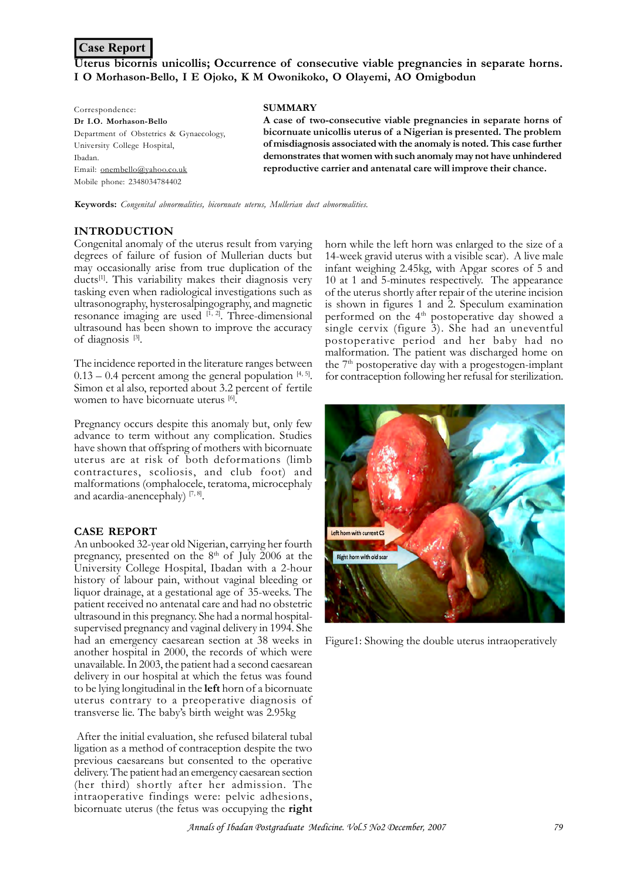## **Case Report**

# **Uterus bicornis unicollis; Occurrence of consecutive viable pregnancies in separate horns. I O Morhason-Bello, I E Ojoko, K M Owonikoko, O Olayemi, AO Omigbodun**

| Correspondence:                         | <b>SUMMARY</b>                                                          |
|-----------------------------------------|-------------------------------------------------------------------------|
| Dr I.O. Morhason-Bello                  | A case of two-consecutive viable pregnancies in separate horns of       |
| Department of Obstetrics & Gynaecology, | bicornuate unicollis uterus of a Nigerian is presented. The problem     |
| University College Hospital,            | of misdiagnosis associated with the anomaly is noted. This case further |
| Ibadan.                                 | demonstrates that women with such anomaly may not have unhindered       |
| Email: onembello@vahoo.co.uk            | reproductive carrier and antenatal care will improve their chance.      |
| Mobile phone: 2348034784402             |                                                                         |

**Keywords:** *Congenital abnormalities, bicornuate uterus, Mullerian duct abnormalities.*

#### **INTRODUCTION**

Congenital anomaly of the uterus result from varying degrees of failure of fusion of Mullerian ducts but may occasionally arise from true duplication of the ducts<sup>[1]</sup>. This variability makes their diagnosis very tasking even when radiological investigations such as ultrasonography, hysterosalpingography, and magnetic resonance imaging are used  $[1, 2]$ . Three-dimensional ultrasound has been shown to improve the accuracy of diagnosis<sup>[3]</sup>.

The incidence reported in the literature ranges between  $0.13 - 0.4$  percent among the general population  $[4, 5]$ . Simon et al also, reported about 3.2 percent of fertile women to have bicornuate uterus [6].

Pregnancy occurs despite this anomaly but, only few advance to term without any complication. Studies have shown that offspring of mothers with bicornuate uterus are at risk of both deformations (limb contractures, scoliosis, and club foot) and malformations (omphalocele, teratoma, microcephaly and acardia-anencephaly)  $[7, 8]$ .

#### **CASE REPORT**

An unbooked 32-year old Nigerian, carrying her fourth pregnancy, presented on the  $8<sup>th</sup>$  of July 2006 at the University College Hospital, Ibadan with a 2-hour history of labour pain, without vaginal bleeding or liquor drainage, at a gestational age of 35-weeks. The patient received no antenatal care and had no obstetric ultrasound in this pregnancy. She had a normal hospitalsupervised pregnancy and vaginal delivery in 1994. She had an emergency caesarean section at 38 weeks in another hospital in 2000, the records of which were unavailable. In 2003, the patient had a second caesarean delivery in our hospital at which the fetus was found to be lying longitudinal in the **left** horn of a bicornuate uterus contrary to a preoperative diagnosis of transverse lie. The baby's birth weight was 2.95kg

 After the initial evaluation, she refused bilateral tubal ligation as a method of contraception despite the two previous caesareans but consented to the operative delivery. The patient had an emergency caesarean section (her third) shortly after her admission. The intraoperative findings were: pelvic adhesions, bicornuate uterus (the fetus was occupying the **right**

horn while the left horn was enlarged to the size of a 14-week gravid uterus with a visible scar). A live male infant weighing 2.45kg, with Apgar scores of 5 and 10 at 1 and 5-minutes respectively. The appearance of the uterus shortly after repair of the uterine incision is shown in figures 1 and 2. Speculum examination performed on the 4<sup>th</sup> postoperative day showed a single cervix (figure 3). She had an uneventful postoperative period and her baby had no malformation. The patient was discharged home on the  $7<sup>th</sup>$  postoperative day with a progestogen-implant for contraception following her refusal for sterilization.



Figure1: Showing the double uterus intraoperatively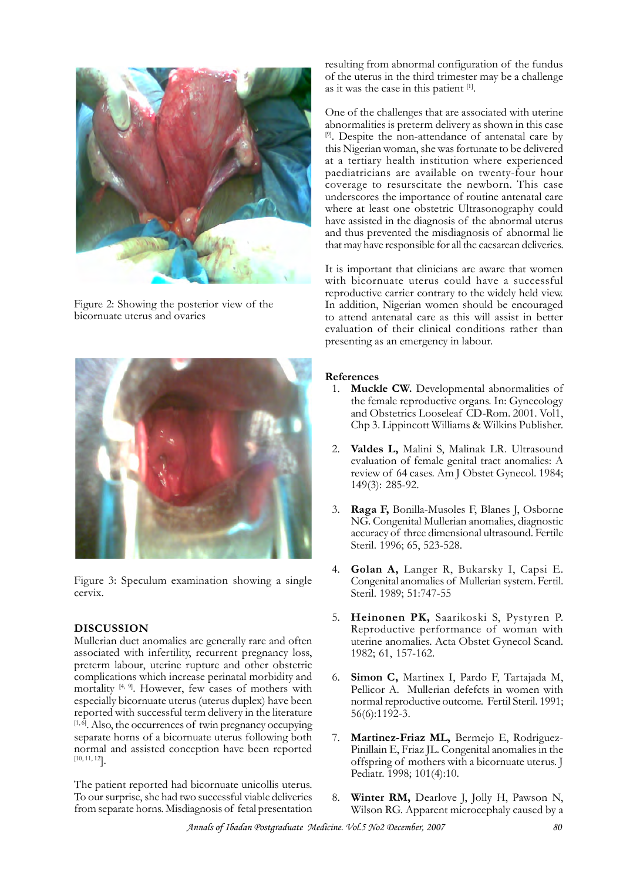

Figure 2: Showing the posterior view of the bicornuate uterus and ovaries



Figure 3: Speculum examination showing a single cervix.

#### **DISCUSSION**

Mullerian duct anomalies are generally rare and often associated with infertility, recurrent pregnancy loss, preterm labour, uterine rupture and other obstetric complications which increase perinatal morbidity and mortality  $[4, 9]$ . However, few cases of mothers with especially bicornuate uterus (uterus duplex) have been reported with successful term delivery in the literature  $[1, \hat{0}]$ . Also, the occurrences of twin pregnancy occupying separate horns of a bicornuate uterus following both normal and assisted conception have been reported [10, 11, 12].

The patient reported had bicornuate unicollis uterus. To our surprise, she had two successful viable deliveries from separate horns. Misdiagnosis of fetal presentation resulting from abnormal configuration of the fundus of the uterus in the third trimester may be a challenge as it was the case in this patient [1].

One of the challenges that are associated with uterine abnormalities is preterm delivery as shown in this case [9]. Despite the non-attendance of antenatal care by this Nigerian woman, she was fortunate to be delivered at a tertiary health institution where experienced paediatricians are available on twenty-four hour coverage to resurscitate the newborn. This case underscores the importance of routine antenatal care where at least one obstetric Ultrasonography could have assisted in the diagnosis of the abnormal uterus and thus prevented the misdiagnosis of abnormal lie that may have responsible for all the caesarean deliveries.

It is important that clinicians are aware that women with bicornuate uterus could have a successful reproductive carrier contrary to the widely held view. In addition, Nigerian women should be encouraged to attend antenatal care as this will assist in better evaluation of their clinical conditions rather than presenting as an emergency in labour.

### **References**

- 1. **Muckle CW.** Developmental abnormalities of the female reproductive organs. In: Gynecology and Obstetrics Looseleaf CD-Rom. 2001. Vol1, Chp 3. Lippincott Williams & Wilkins Publisher.
- 2. **Valdes L,** Malini S, Malinak LR. Ultrasound evaluation of female genital tract anomalies: A review of 64 cases. Am J Obstet Gynecol. 1984; 149(3): 285-92.
- 3. **Raga F,** Bonilla-Musoles F, Blanes J, Osborne NG. Congenital Mullerian anomalies, diagnostic accuracy of three dimensional ultrasound. Fertile Steril. 1996; 65, 523-528.
- 4. **Golan A,** Langer R, Bukarsky I, Capsi E. Congenital anomalies of Mullerian system. Fertil. Steril. 1989; 51:747-55
- 5. **Heinonen PK,** Saarikoski S, Pystyren P. Reproductive performance of woman with uterine anomalies. Acta Obstet Gynecol Scand. 1982; 61, 157-162.
- 6. **Simon C,** Martinex I, Pardo F, Tartajada M, Pellicor A. Mullerian defefcts in women with normal reproductive outcome. Fertil Steril. 1991; 56(6):1192-3.
- 7. **Martinez-Friaz ML,** Bermejo E, Rodriguez-Pinillain E, Friaz JL. Congenital anomalies in the offspring of mothers with a bicornuate uterus. J Pediatr. 1998; 101(4):10.
- 8. **Winter RM,** Dearlove J, Jolly H, Pawson N, Wilson RG. Apparent microcephaly caused by a

Annals of Ibadan Postgraduate Medicine. Vol.5 No2 December, 2007 80